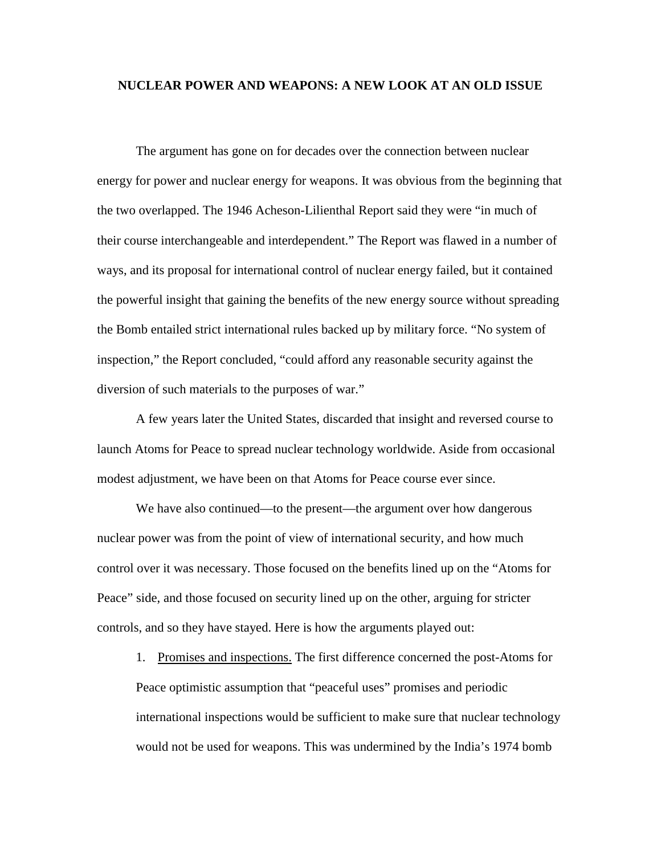## **NUCLEAR POWER AND WEAPONS: A NEW LOOK AT AN OLD ISSUE**

The argument has gone on for decades over the connection between nuclear energy for power and nuclear energy for weapons. It was obvious from the beginning that the two overlapped. The 1946 Acheson-Lilienthal Report said they were "in much of their course interchangeable and interdependent." The Report was flawed in a number of ways, and its proposal for international control of nuclear energy failed, but it contained the powerful insight that gaining the benefits of the new energy source without spreading the Bomb entailed strict international rules backed up by military force. "No system of inspection," the Report concluded, "could afford any reasonable security against the diversion of such materials to the purposes of war."

A few years later the United States, discarded that insight and reversed course to launch Atoms for Peace to spread nuclear technology worldwide. Aside from occasional modest adjustment, we have been on that Atoms for Peace course ever since.

We have also continued—to the present—the argument over how dangerous nuclear power was from the point of view of international security, and how much control over it was necessary. Those focused on the benefits lined up on the "Atoms for Peace" side, and those focused on security lined up on the other, arguing for stricter controls, and so they have stayed. Here is how the arguments played out:

1. Promises and inspections. The first difference concerned the post-Atoms for Peace optimistic assumption that "peaceful uses" promises and periodic international inspections would be sufficient to make sure that nuclear technology would not be used for weapons. This was undermined by the India's 1974 bomb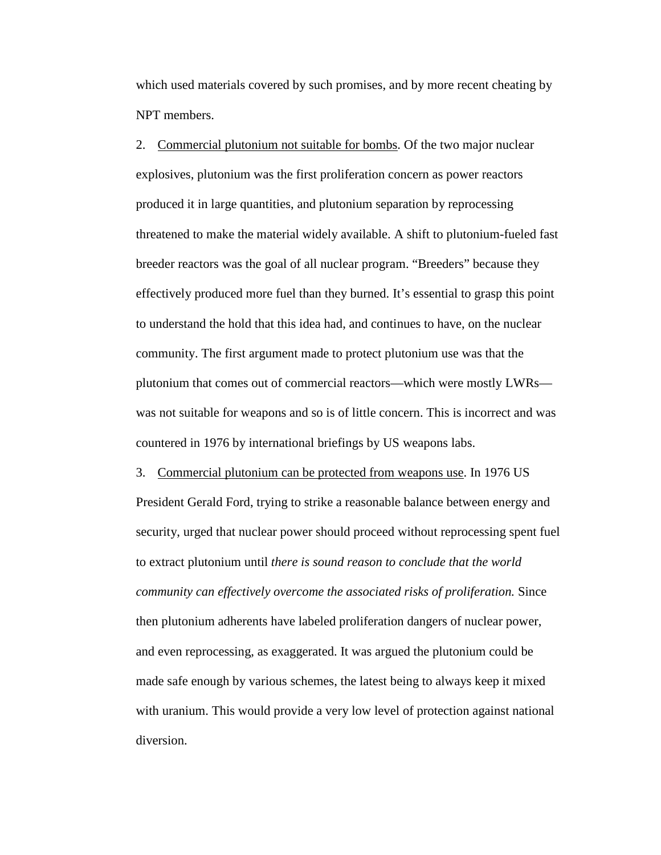which used materials covered by such promises, and by more recent cheating by NPT members.

2. Commercial plutonium not suitable for bombs. Of the two major nuclear explosives, plutonium was the first proliferation concern as power reactors produced it in large quantities, and plutonium separation by reprocessing threatened to make the material widely available. A shift to plutonium-fueled fast breeder reactors was the goal of all nuclear program. "Breeders" because they effectively produced more fuel than they burned. It's essential to grasp this point to understand the hold that this idea had, and continues to have, on the nuclear community. The first argument made to protect plutonium use was that the plutonium that comes out of commercial reactors—which were mostly LWRs was not suitable for weapons and so is of little concern. This is incorrect and was countered in 1976 by international briefings by US weapons labs.

3. Commercial plutonium can be protected from weapons use. In 1976 US President Gerald Ford, trying to strike a reasonable balance between energy and security, urged that nuclear power should proceed without reprocessing spent fuel to extract plutonium until *there is sound reason to conclude that the world community can effectively overcome the associated risks of proliferation.* Since then plutonium adherents have labeled proliferation dangers of nuclear power, and even reprocessing, as exaggerated. It was argued the plutonium could be made safe enough by various schemes, the latest being to always keep it mixed with uranium. This would provide a very low level of protection against national diversion.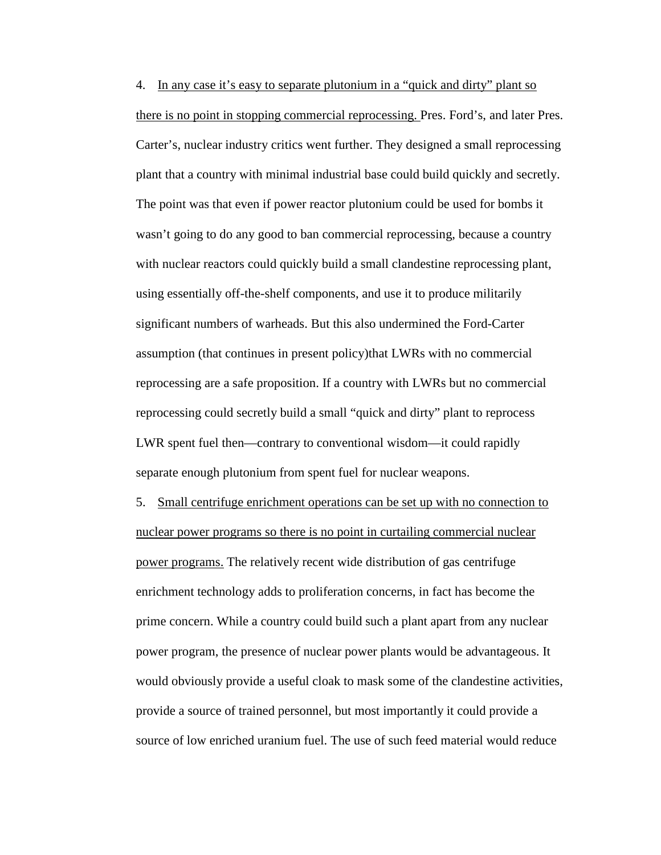4. In any case it's easy to separate plutonium in a "quick and dirty" plant so there is no point in stopping commercial reprocessing. Pres. Ford's, and later Pres. Carter's, nuclear industry critics went further. They designed a small reprocessing plant that a country with minimal industrial base could build quickly and secretly. The point was that even if power reactor plutonium could be used for bombs it wasn't going to do any good to ban commercial reprocessing, because a country with nuclear reactors could quickly build a small clandestine reprocessing plant, using essentially off-the-shelf components, and use it to produce militarily significant numbers of warheads. But this also undermined the Ford-Carter assumption (that continues in present policy)that LWRs with no commercial reprocessing are a safe proposition. If a country with LWRs but no commercial reprocessing could secretly build a small "quick and dirty" plant to reprocess LWR spent fuel then—contrary to conventional wisdom—it could rapidly separate enough plutonium from spent fuel for nuclear weapons.

5. Small centrifuge enrichment operations can be set up with no connection to nuclear power programs so there is no point in curtailing commercial nuclear power programs. The relatively recent wide distribution of gas centrifuge enrichment technology adds to proliferation concerns, in fact has become the prime concern. While a country could build such a plant apart from any nuclear power program, the presence of nuclear power plants would be advantageous. It would obviously provide a useful cloak to mask some of the clandestine activities, provide a source of trained personnel, but most importantly it could provide a source of low enriched uranium fuel. The use of such feed material would reduce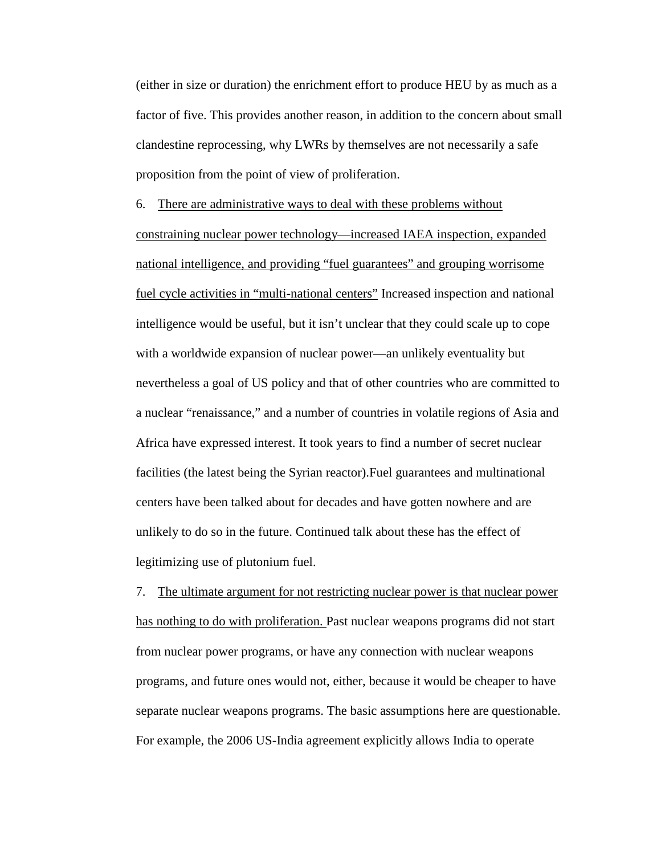(either in size or duration) the enrichment effort to produce HEU by as much as a factor of five. This provides another reason, in addition to the concern about small clandestine reprocessing, why LWRs by themselves are not necessarily a safe proposition from the point of view of proliferation.

6. There are administrative ways to deal with these problems without constraining nuclear power technology—increased IAEA inspection, expanded national intelligence, and providing "fuel guarantees" and grouping worrisome fuel cycle activities in "multi-national centers" Increased inspection and national intelligence would be useful, but it isn't unclear that they could scale up to cope with a worldwide expansion of nuclear power—an unlikely eventuality but nevertheless a goal of US policy and that of other countries who are committed to a nuclear "renaissance," and a number of countries in volatile regions of Asia and Africa have expressed interest. It took years to find a number of secret nuclear facilities (the latest being the Syrian reactor).Fuel guarantees and multinational centers have been talked about for decades and have gotten nowhere and are unlikely to do so in the future. Continued talk about these has the effect of legitimizing use of plutonium fuel.

7. The ultimate argument for not restricting nuclear power is that nuclear power has nothing to do with proliferation. Past nuclear weapons programs did not start from nuclear power programs, or have any connection with nuclear weapons programs, and future ones would not, either, because it would be cheaper to have separate nuclear weapons programs. The basic assumptions here are questionable. For example, the 2006 US-India agreement explicitly allows India to operate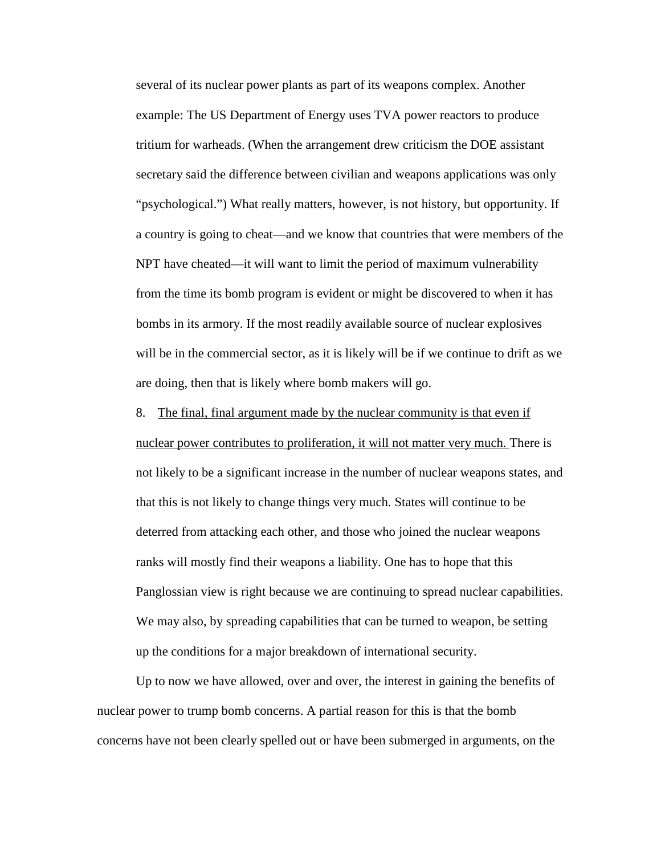several of its nuclear power plants as part of its weapons complex. Another example: The US Department of Energy uses TVA power reactors to produce tritium for warheads. (When the arrangement drew criticism the DOE assistant secretary said the difference between civilian and weapons applications was only "psychological.") What really matters, however, is not history, but opportunity. If a country is going to cheat—and we know that countries that were members of the NPT have cheated—it will want to limit the period of maximum vulnerability from the time its bomb program is evident or might be discovered to when it has bombs in its armory. If the most readily available source of nuclear explosives will be in the commercial sector, as it is likely will be if we continue to drift as we are doing, then that is likely where bomb makers will go.

8. The final, final argument made by the nuclear community is that even if nuclear power contributes to proliferation, it will not matter very much. There is not likely to be a significant increase in the number of nuclear weapons states, and that this is not likely to change things very much. States will continue to be deterred from attacking each other, and those who joined the nuclear weapons ranks will mostly find their weapons a liability. One has to hope that this Panglossian view is right because we are continuing to spread nuclear capabilities. We may also, by spreading capabilities that can be turned to weapon, be setting up the conditions for a major breakdown of international security.

Up to now we have allowed, over and over, the interest in gaining the benefits of nuclear power to trump bomb concerns. A partial reason for this is that the bomb concerns have not been clearly spelled out or have been submerged in arguments, on the